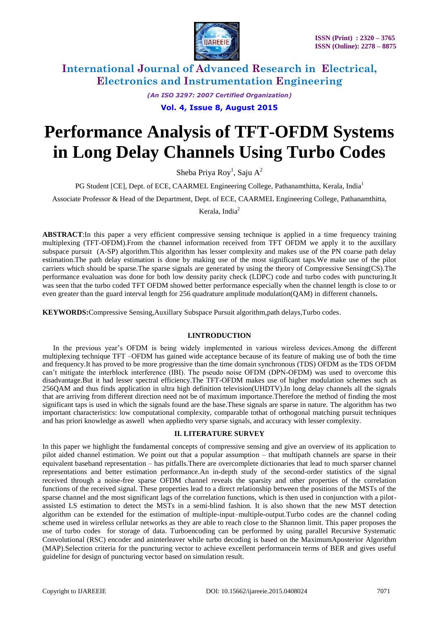

*(An ISO 3297: 2007 Certified Organization)*

**Vol. 4, Issue 8, August 2015**

# **Performance Analysis of TFT-OFDM Systems in Long Delay Channels Using Turbo Codes**

Sheba Priya Roy<sup>1</sup>, Saju A<sup>2</sup>

PG Student [CE], Dept. of ECE, CAARMEL Engineering College, Pathanamthitta, Kerala, India<sup>1</sup>

Associate Professor & Head of the Department, Dept. of ECE, CAARMEL Engineering College, Pathanamthitta,

Kerala, India<sup>2</sup>

**ABSTRACT**:In this paper a very efficient compressive sensing technique is applied in a time frequency training multiplexing (TFT-OFDM).From the channel information received from TFT OFDM we apply it to the auxillary subspace pursuit (A-SP) algorithm.This algorithm has lesser complexity and makes use of the PN coarse path delay estimation.The path delay estimation is done by making use of the most significant taps.We make use of the pilot carriers which should be sparse.The sparse signals are generated by using the theory of Compressive Sensing(CS).The performance evaluation was done for both low density parity check (LDPC) code and turbo codes with puncturing.It was seen that the turbo coded TFT OFDM showed better performance especially when the channel length is close to or even greater than the guard interval length for 256 quadrature amplitude modulation(QAM) in different channels**.**

**KEYWORDS:**Compressive Sensing,Auxillary Subspace Pursuit algorithm,path delays,Turbo codes.

### **I.INTRODUCTION**

In the previous year's OFDM is being widely implemented in various wireless devices.Among the different multiplexing technique TFT –OFDM has gained wide acceptance because of its feature of making use of both the time and frequency.It has proved to be more progressive than the time domain synchronous (TDS) OFDM as the TDS OFDM can't mitigate the interblock interference (IBI). The pseudo noise OFDM (DPN-OFDM) was used to overcome this disadvantage.But it had lesser spectral efficiency.The TFT-OFDM makes use of higher modulation schemes such as 256QAM and thus finds application in ultra high definition television(UHDTV).In long delay channels all the signals that are arriving from different direction need not be of maximum importance.Therefore the method of finding the most significant taps is used in which the signals found are the base.These signals are sparse in nature. The algorithm has two important characteristics: low computational complexity, comparable tothat of orthogonal matching pursuit techniques and has priori knowledge as aswell when appliedto very sparse signals, and accuracy with lesser complexity.

### **II. LITERATURE SURVEY**

In this paper we highlight the fundamental concepts of compressive sensing and give an overview of its application to pilot aided channel estimation. We point out that a popular assumption – that multipath channels are sparse in their equivalent baseband representation – has pitfalls.There are overcomplete dictionaries that lead to much sparser channel representations and better estimation performance.An in-depth study of the second-order statistics of the signal received through a noise-free sparse OFDM channel reveals the sparsity and other properties of the correlation functions of the received signal. These properties lead to a direct relationship between the positions of the MSTs of the sparse channel and the most significant lags of the correlation functions, which is then used in conjunction with a pilotassisted LS estimation to detect the MSTs in a semi-blind fashion. It is also shown that the new MST detection algorithm can be extended for the estimation of multiple-input–multiple-output.Turbo codes are the channel coding scheme used in wireless cellular networks as they are able to reach close to the Shannon limit. This paper proposes the use of turbo codes for storage of data. Turboencoding can be performed by using parallel Recursive Systematic Convolutional (RSC) encoder and aninterleaver while turbo decoding is based on the MaximumAposterior Algorithm (MAP).Selection criteria for the puncturing vector to achieve excellent performancein terms of BER and gives useful guideline for design of puncturing vector based on simulation result.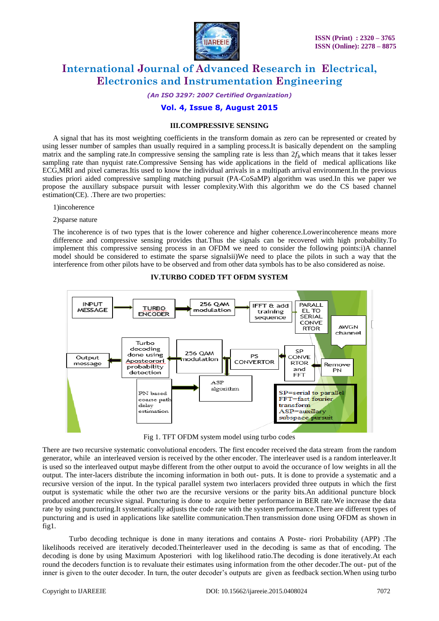

*(An ISO 3297: 2007 Certified Organization)*

### **Vol. 4, Issue 8, August 2015**

#### **III.COMPRESSIVE SENSING**

A signal that has its most weighting coefficients in the transform domain as zero can be represented or created by using lesser number of samples than usually required in a sampling process.It is basically dependent on the sampling matrix and the sampling rate.In compressive sensing the sampling rate is less than  $2f_b$  which means that it takes lesser sampling rate than nyquist rate.Compressive Sensing has wide applications in the field of medical apllications like ECG,MRI and pixel cameras.Itis used to know the individual arrivals in a multipath arrival environment.In the previous studies priori aided compressive sampling matching pursuit (PA-CoSaMP) algorithm was used.In this we paper we propose the auxillary subspace pursuit with lesser complexity.With this algorithm we do the CS based channel estimation(CE). .There are two properties:

1)incoherence

2)sparse nature

The incoherence is of two types that is the lower coherence and higher coherence.Lowerincoherence means more difference and compressive sensing provides that.Thus the signals can be recovered with high probability.To implement this compressive sensing process in an OFDM we need to consider the following points:i)A channel model should be considered to estimate the sparse signalsii)We need to place the pilots in such a way that the interference from other pilots have to be observed and from other data symbols has to be also considered as noise.



### **IV.TURBO CODED TFT OFDM SYSTEM**

Fig 1. TFT OFDM system model using turbo codes

There are two recursive systematic convolutional encoders. The first encoder received the data stream from the random generator, while an interleaved version is received by the other encoder. The interleaver used is a random interleaver.It is used so the interleaved output maybe different from the other output to avoid the occurance of low weights in all the output. The inter-lacers distribute the incoming information in both out- puts. It is done to provide a systematic and a recursive version of the input. In the typical parallel system two interlacers provided three outputs in which the first output is systematic while the other two are the recursive versions or the parity bits.An additional puncture block produced another recursive signal. Puncturing is done to acquire better performance in BER rate.We increase the data rate by using puncturing.It systematically adjusts the code rate with the system performance.There are different types of puncturing and is used in applications like satellite communication.Then transmission done using OFDM as shown in fig1.

Turbo decoding technique is done in many iterations and contains A Poste- riori Probability (APP) .The likelihoods received are iteratively decoded.Theinterleaver used in the decoding is same as that of encoding. The decoding is done by using Maximum Aposteriori with log likelihood ratio.The decoding is done iteratively.At each round the decoders function is to revaluate their estimates using information from the other decoder. The out- put of the inner is given to the outer decoder. In turn, the outer decoder's outputs are given as feedback section.When using turbo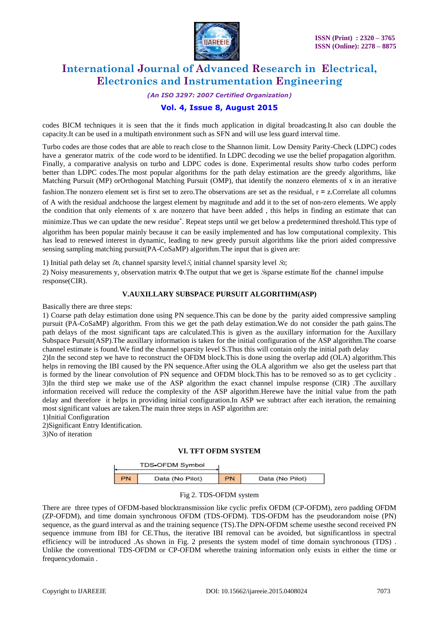

*(An ISO 3297: 2007 Certified Organization)*

### **Vol. 4, Issue 8, August 2015**

codes BICM techniques it is seen that the it finds much application in digital broadcasting.It also can double the capacity.It can be used in a multipath environment such as SFN and will use less guard interval time.

Turbo codes are those codes that are able to reach close to the Shannon limit. Low Density Parity-Check (LDPC) codes have a generator matrix of the code word to be identified. In LDPC decoding we use the belief propagation algorithm. Finally, a comparative analysis on turbo and LDPC codes is done. Experimental results show turbo codes perform better than LDPC codes.The most popular algorithms for the path delay estimation are the greedy algorithms, like Matching Pursuit (MP) orOrthogonal Matching Pursuit (OMP), that identify the nonzero elements of x in an iterative

fashion.The nonzero element set is first set to zero.The observations are set as the residual, r = z.Correlate all columns of A with the residual andchoose the largest element by magnitude and add it to the set of non-zero elements. We apply the condition that only elements of x are nonzero that have been added , this helps in finding an estimate that can

minimize.Thus we can update the new residueˆ. Repeat steps until we get below a predetermined threshold.This type of algorithm has been popular mainly because it can be easily implemented and has low computational complexity. This has lead to renewed interest in dynamic, leading to new greedy pursuit algorithms like the priori aided compressive sensing sampling matching pursuit(PA-CoSaMP) algorithm.The input that is given are:

1) Initial path delay set  $D_0$ , channel sparsity level S, initial channel sparsity level So;

2) Noisy measurements y, observation matrix Φ.The output that we get is Ssparse estimate ĥof the channel impulse response(CIR).

### **V.AUXILLARY SUBSPACE PURSUIT ALGORITHM(ASP)**

Basically there are three steps:

1) Coarse path delay estimation done using PN sequence.This can be done by the parity aided compressive sampling pursuit (PA-CoSaMP) algorithm. From this we get the path delay estimation.We do not consider the path gains.The path delays of the most significant taps are calculated.This is given as the auxillary information for the Auxillary Subspace Pursuit(ASP).The auxillary information is taken for the initial configuration of the ASP algorithm.The coarse channel estimate is found.We find the channel sparsity level S.Thus this will contain only the initial path delay

2)In the second step we have to reconstruct the OFDM block.This is done using the overlap add (OLA) algorithm.This helps in removing the IBI caused by the PN sequence.After using the OLA algorithm we also get the useless part that is formed by the linear convolution of PN sequence and OFDM block.This has to be removed so as to get cyclicity . 3)In the third step we make use of the ASP algorithm the exact channel impulse response (CIR) .The auxillary information received will reduce the complexity of the ASP algorithm.Herewe have the initial value from the path delay and therefore it helps in providing initial configuration.In ASP we subtract after each iteration, the remaining most significant values are taken.The main three steps in ASP algorithm are:

1)Initial Configuration

2)Significant Entry Identification.

3)No of iteration

### **VI. TFT OFDM SYSTEM**

| TDS-OFDM Symbol |                 |     |                 |
|-----------------|-----------------|-----|-----------------|
| PN              | Data (No Pilot) | PN. | Data (No Pilot) |

### Fig 2. TDS-OFDM system

There are three types of OFDM-based blocktransmission like cyclic prefix OFDM (CP-OFDM), zero padding OFDM (ZP-OFDM), and time domain synchronous OFDM (TDS-OFDM). TDS-OFDM has the pseudorandom noise (PN) sequence, as the guard interval as and the training sequence (TS).The DPN-OFDM scheme usesthe second received PN sequence immune from IBI for CE.Thus, the iterative IBI removal can be avoided, but significantloss in spectral efficiency will be introduced .As shown in Fig. 2 presents the system model of time domain synchronous (TDS) . Unlike the conventional TDS-OFDM or CP-OFDM wherethe training information only exists in either the time or frequencydomain .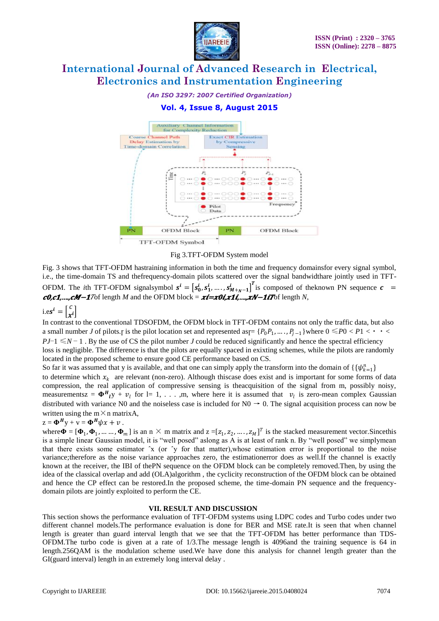

*(An ISO 3297: 2007 Certified Organization)*

### **Vol. 4, Issue 8, August 2015**



#### Fig 3.TFT-OFDM System model

Fig. 3 shows that TFT-OFDM hastraining information in both the time and frequency domainsfor every signal symbol, i.e., the time-domain TS and thefrequency-domain pilots scattered over the signal bandwidthare jointly used in TFT-OFDM. The *i*th TFT-OFDM signalsymbol  $s^i = [s_0^i, s_1^i, \dots, s_{M+\gamma-1}^i]^T$  is composed of the known PN sequence  $c =$  $\mathbf{c0}$ , $\mathbf{c1}$ ,..., $\mathbf{cM}-\mathbf{1}$ Tof length *M* and the OFDM block =  $\mathbf{xi} = \mathbf{r0}$ , $\mathbf{r1}$ ,..., $\mathbf{rN}-\mathbf{1}$  it and  $N$ ,

$$
i.es^i = \begin{bmatrix} c \\ x^i \end{bmatrix}
$$

In contrast to the conventional TDSOFDM, the OFDM block in TFT-OFDM contains not only the traffic data, but also a small number *J* of pilots.<sub>*I*</sub> is the pilot location set and represented as  $[ P_0 P_1, \ldots, P_{j-1} ]$  where  $0 \leq P_0 < P_1 < \cdot \cdot \cdot < \cdot \cdot \cdot$ *PJ*−1 ≤*N* − 1. By the use of CS the pilot number *J* could be reduced significantly and hence the spectral efficiency loss is negligible. The difference is that the pilots are equally spaced in exixting schemes, while the pilots are randomly located in the proposed scheme to ensure good CE performance based on CS.

So far it was assumed that y is available, and that one can simply apply the transform into the domain of  $\{\{\psi_{k=1}^n\}$ to determine which  $x_k$  are relevant (non-zero). Although thiscase does exist and is important for some forms of data compression, the real application of compressive sensing is theacquisition of the signal from m, possibly noisy, measurementsz =  $\Phi^H_{l} y + v_l$  for l= 1, ..., m, where here it is assumed that  $v_l$  is zero-mean complex Gaussian distributed with variance N0 and the noiseless case is included for  $N0 \rightarrow 0$ . The signal acquisition process can now be written using the  $m \times n$  matrixA,

### $z = \mathbf{\Phi}^H y + v = \mathbf{\Phi}^H \psi x + v$ .

where  $\boldsymbol{\Phi} = [\boldsymbol{\Phi}_1, \boldsymbol{\Phi}_1, \dots, \boldsymbol{\Phi}_m]$  is an n  $\times$  m matrix and  $z = [z_1, z_2, \dots, z_M]^T$  is the stacked measurement vector. Since this is a simple linear Gaussian model, it is "well posed" aslong as A is at least of rank n. By "well posed" we simplymean that there exists some estimator  $\hat{X}$  (or  $\hat{Y}$  for that matter), whose estimation error is proportional to the noise variance;therefore as the noise variance approaches zero, the estimationerror does as well.If the channel is exactly known at the receiver, the IBI of thePN sequence on the OFDM block can be completely removed.Then, by using the idea of the classical overlap and add (OLA)algorithm , the cyclicity reconstruction of the OFDM block can be obtained and hence the CP effect can be restored.In the proposed scheme, the time-domain PN sequence and the frequencydomain pilots are jointly exploited to perform the CE.

#### **VII. RESULT AND DISCUSSION**

This section shows the performance evaluation of TFT-OFDM systems using LDPC codes and Turbo codes under two different channel models.The performance evaluation is done for BER and MSE rate.It is seen that when channel length is greater than guard interval length that we see that the TFT-OFDM has better performance than TDS-OFDM.The turbo code is given at a rate of 1/3.The message length is 4096and the training sequence is 64 in length.256QAM is the modulation scheme used.We have done this analysis for channel length greater than the GI(guard interval) length in an extremely long interval delay .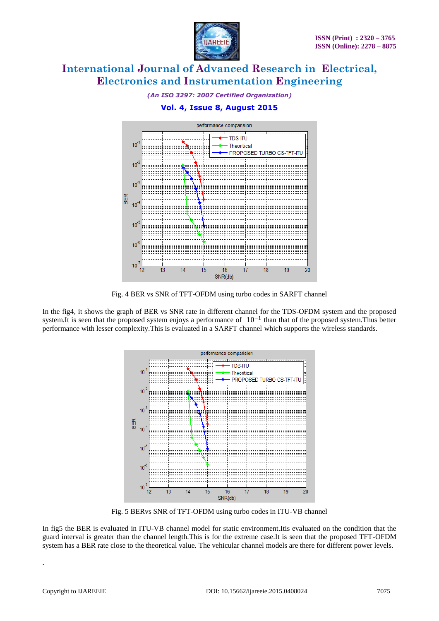





Fig. 4 BER vs SNR of TFT-OFDM using turbo codes in SARFT channel

In the fig4, it shows the graph of BER vs SNR rate in different channel for the TDS-OFDM system and the proposed system.It is seen that the proposed system enjoys a performance of  $10^{-1}$  than that of the proposed system.Thus better performance with lesser complexity.This is evaluated in a SARFT channel which supports the wireless standards.



Fig. 5 BERvs SNR of TFT-OFDM using turbo codes in ITU-VB channel

In fig5 the BER is evaluated in ITU-VB channel model for static environment.Itis evaluated on the condition that the guard interval is greater than the channel length.This is for the extreme case.It is seen that the proposed TFT-OFDM system has a BER rate close to the theoretical value. The vehicular channel models are there for different power levels.

.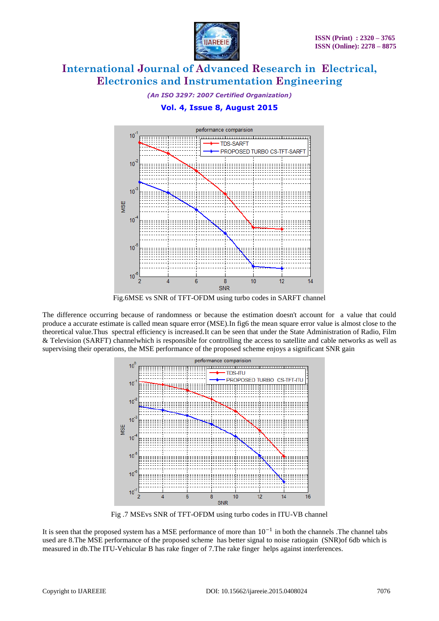

*(An ISO 3297: 2007 Certified Organization)*

### **Vol. 4, Issue 8, August 2015**



Fig.6MSE vs SNR of TFT-OFDM using turbo codes in SARFT channel

The difference occurring because of randomness or because the estimation doesn't account for a value that could produce a accurate estimate is called mean square error (MSE).In fig6 the mean square error value is almost close to the theoretical value.Thus spectral efficiency is increased.It can be seen that under the State Administration of Radio, Film & Television (SARFT) channelwhich is responsible for controlling the access to satellite and cable networks as well as supervising their operations, the MSE performance of the proposed scheme enjoys a significant SNR gain



Fig .7 MSEvs SNR of TFT-OFDM using turbo codes in ITU-VB channel

It is seen that the proposed system has a MSE performance of more than  $10^{-1}$  in both the channels .The channel tabs used are 8.The MSE performance of the proposed scheme has better signal to noise ratiogain (SNR)of 6db which is measured in db.The ITU-Vehicular B has rake finger of 7.The rake finger helps against interferences.